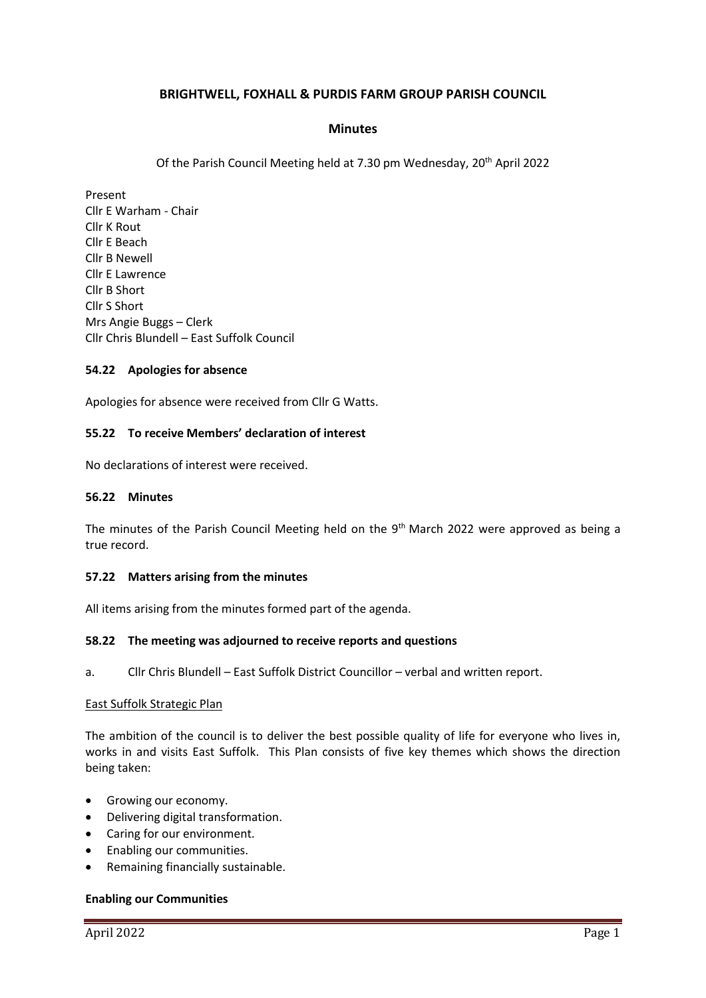## **BRIGHTWELL, FOXHALL & PURDIS FARM GROUP PARISH COUNCIL**

### **Minutes**

Of the Parish Council Meeting held at 7.30 pm Wednesday, 20<sup>th</sup> April 2022

Present Cllr E Warham - Chair Cllr K Rout Cllr E Beach Cllr B Newell Cllr E Lawrence Cllr B Short Cllr S Short Mrs Angie Buggs – Clerk Cllr Chris Blundell – East Suffolk Council

#### **54.22 Apologies for absence**

Apologies for absence were received from Cllr G Watts.

#### **55.22 To receive Members' declaration of interest**

No declarations of interest were received.

#### **56.22 Minutes**

The minutes of the Parish Council Meeting held on the 9<sup>th</sup> March 2022 were approved as being a true record.

#### **57.22 Matters arising from the minutes**

All items arising from the minutes formed part of the agenda.

#### **58.22 The meeting was adjourned to receive reports and questions**

a. Cllr Chris Blundell – East Suffolk District Councillor – verbal and written report.

#### East Suffolk Strategic Plan

The ambition of the council is to deliver the best possible quality of life for everyone who lives in, works in and visits East Suffolk. This Plan consists of five key themes which shows the direction being taken:

- Growing our economy.
- Delivering digital transformation.
- Caring for our environment.
- Enabling our communities.
- Remaining financially sustainable.

#### **Enabling our Communities**

April 2022 Page 1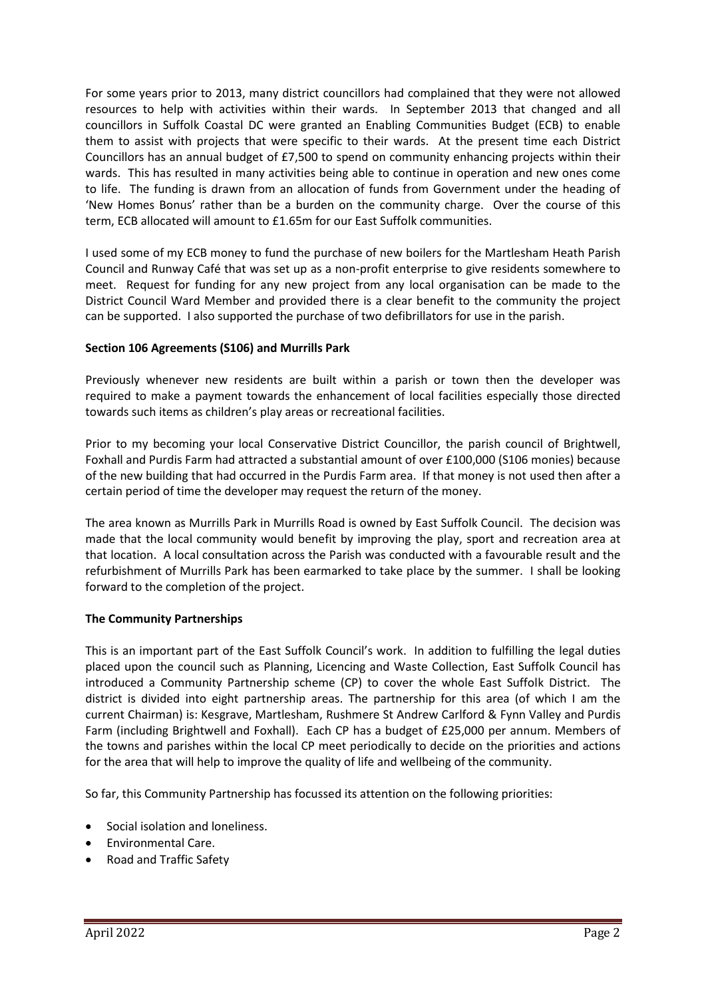For some years prior to 2013, many district councillors had complained that they were not allowed resources to help with activities within their wards. In September 2013 that changed and all councillors in Suffolk Coastal DC were granted an Enabling Communities Budget (ECB) to enable them to assist with projects that were specific to their wards. At the present time each District Councillors has an annual budget of £7,500 to spend on community enhancing projects within their wards. This has resulted in many activities being able to continue in operation and new ones come to life. The funding is drawn from an allocation of funds from Government under the heading of 'New Homes Bonus' rather than be a burden on the community charge. Over the course of this term, ECB allocated will amount to £1.65m for our East Suffolk communities.

I used some of my ECB money to fund the purchase of new boilers for the Martlesham Heath Parish Council and Runway Café that was set up as a non-profit enterprise to give residents somewhere to meet. Request for funding for any new project from any local organisation can be made to the District Council Ward Member and provided there is a clear benefit to the community the project can be supported. I also supported the purchase of two defibrillators for use in the parish.

## **Section 106 Agreements (S106) and Murrills Park**

Previously whenever new residents are built within a parish or town then the developer was required to make a payment towards the enhancement of local facilities especially those directed towards such items as children's play areas or recreational facilities.

Prior to my becoming your local Conservative District Councillor, the parish council of Brightwell, Foxhall and Purdis Farm had attracted a substantial amount of over £100,000 (S106 monies) because of the new building that had occurred in the Purdis Farm area. If that money is not used then after a certain period of time the developer may request the return of the money.

The area known as Murrills Park in Murrills Road is owned by East Suffolk Council. The decision was made that the local community would benefit by improving the play, sport and recreation area at that location. A local consultation across the Parish was conducted with a favourable result and the refurbishment of Murrills Park has been earmarked to take place by the summer. I shall be looking forward to the completion of the project.

## **The Community Partnerships**

This is an important part of the East Suffolk Council's work. In addition to fulfilling the legal duties placed upon the council such as Planning, Licencing and Waste Collection, East Suffolk Council has introduced a Community Partnership scheme (CP) to cover the whole East Suffolk District. The district is divided into eight partnership areas. The partnership for this area (of which I am the current Chairman) is: Kesgrave, Martlesham, Rushmere St Andrew Carlford & Fynn Valley and Purdis Farm (including Brightwell and Foxhall). Each CP has a budget of £25,000 per annum. Members of the towns and parishes within the local CP meet periodically to decide on the priorities and actions for the area that will help to improve the quality of life and wellbeing of the community.

So far, this Community Partnership has focussed its attention on the following priorities:

- Social isolation and loneliness.
- Environmental Care.
- Road and Traffic Safety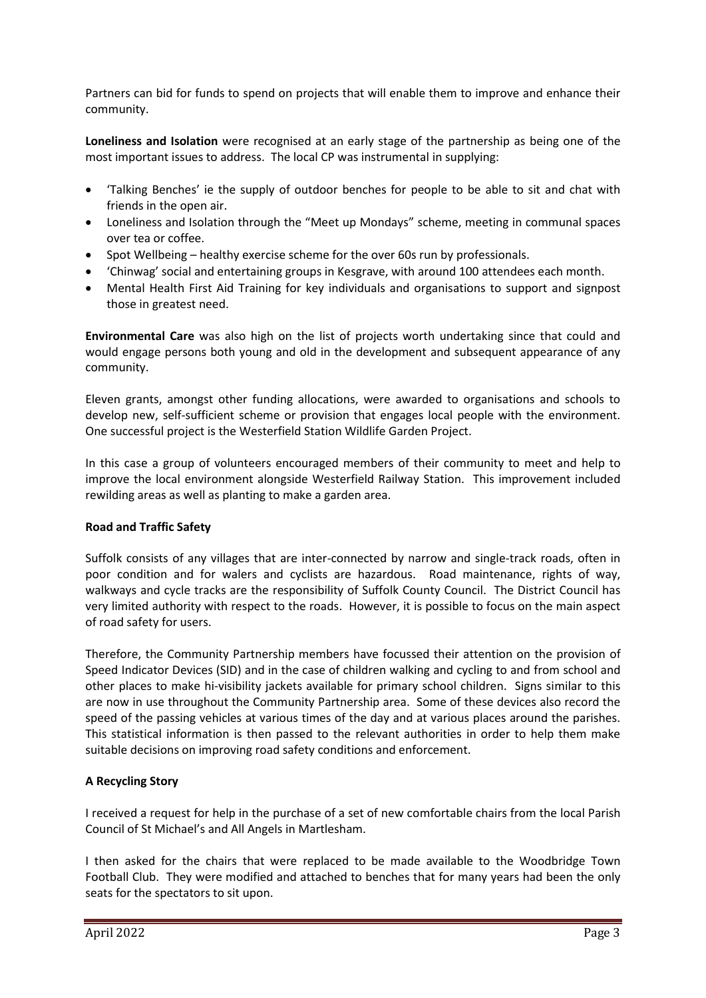Partners can bid for funds to spend on projects that will enable them to improve and enhance their community.

**Loneliness and Isolation** were recognised at an early stage of the partnership as being one of the most important issues to address. The local CP was instrumental in supplying:

- 'Talking Benches' ie the supply of outdoor benches for people to be able to sit and chat with friends in the open air.
- Loneliness and Isolation through the "Meet up Mondays" scheme, meeting in communal spaces over tea or coffee.
- Spot Wellbeing healthy exercise scheme for the over 60s run by professionals.
- 'Chinwag' social and entertaining groups in Kesgrave, with around 100 attendees each month.
- Mental Health First Aid Training for key individuals and organisations to support and signpost those in greatest need.

**Environmental Care** was also high on the list of projects worth undertaking since that could and would engage persons both young and old in the development and subsequent appearance of any community.

Eleven grants, amongst other funding allocations, were awarded to organisations and schools to develop new, self-sufficient scheme or provision that engages local people with the environment. One successful project is the Westerfield Station Wildlife Garden Project.

In this case a group of volunteers encouraged members of their community to meet and help to improve the local environment alongside Westerfield Railway Station. This improvement included rewilding areas as well as planting to make a garden area.

## **Road and Traffic Safety**

Suffolk consists of any villages that are inter-connected by narrow and single-track roads, often in poor condition and for walers and cyclists are hazardous. Road maintenance, rights of way, walkways and cycle tracks are the responsibility of Suffolk County Council. The District Council has very limited authority with respect to the roads. However, it is possible to focus on the main aspect of road safety for users.

Therefore, the Community Partnership members have focussed their attention on the provision of Speed Indicator Devices (SID) and in the case of children walking and cycling to and from school and other places to make hi-visibility jackets available for primary school children. Signs similar to this are now in use throughout the Community Partnership area. Some of these devices also record the speed of the passing vehicles at various times of the day and at various places around the parishes. This statistical information is then passed to the relevant authorities in order to help them make suitable decisions on improving road safety conditions and enforcement.

## **A Recycling Story**

I received a request for help in the purchase of a set of new comfortable chairs from the local Parish Council of St Michael's and All Angels in Martlesham.

I then asked for the chairs that were replaced to be made available to the Woodbridge Town Football Club. They were modified and attached to benches that for many years had been the only seats for the spectators to sit upon.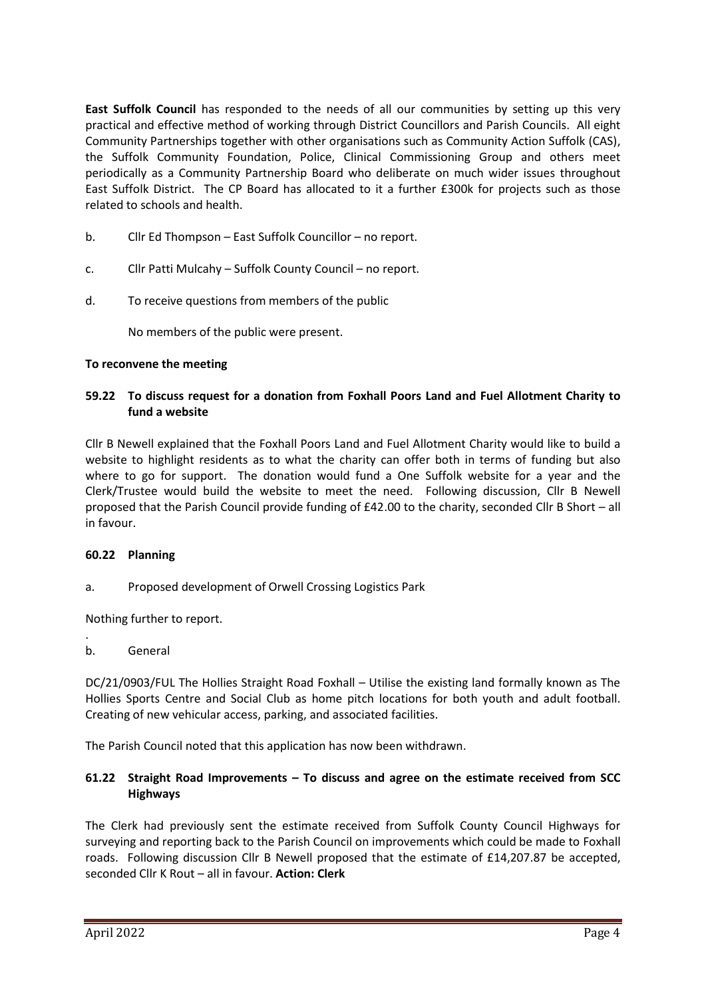**East Suffolk Council** has responded to the needs of all our communities by setting up this very practical and effective method of working through District Councillors and Parish Councils. All eight Community Partnerships together with other organisations such as Community Action Suffolk (CAS), the Suffolk Community Foundation, Police, Clinical Commissioning Group and others meet periodically as a Community Partnership Board who deliberate on much wider issues throughout East Suffolk District. The CP Board has allocated to it a further £300k for projects such as those related to schools and health.

- b. Cllr Ed Thompson East Suffolk Councillor no report.
- c. Cllr Patti Mulcahy Suffolk County Council no report.
- d. To receive questions from members of the public

No members of the public were present.

### **To reconvene the meeting**

### **59.22 To discuss request for a donation from Foxhall Poors Land and Fuel Allotment Charity to fund a website**

Cllr B Newell explained that the Foxhall Poors Land and Fuel Allotment Charity would like to build a website to highlight residents as to what the charity can offer both in terms of funding but also where to go for support. The donation would fund a One Suffolk website for a year and the Clerk/Trustee would build the website to meet the need. Following discussion, Cllr B Newell proposed that the Parish Council provide funding of £42.00 to the charity, seconded Cllr B Short – all in favour.

#### **60.22 Planning**

a. Proposed development of Orwell Crossing Logistics Park

Nothing further to report.

## b. General

.

DC/21/0903/FUL The Hollies Straight Road Foxhall – Utilise the existing land formally known as The Hollies Sports Centre and Social Club as home pitch locations for both youth and adult football. Creating of new vehicular access, parking, and associated facilities.

The Parish Council noted that this application has now been withdrawn.

### **61.22 Straight Road Improvements – To discuss and agree on the estimate received from SCC Highways**

The Clerk had previously sent the estimate received from Suffolk County Council Highways for surveying and reporting back to the Parish Council on improvements which could be made to Foxhall roads. Following discussion Cllr B Newell proposed that the estimate of £14,207.87 be accepted, seconded Cllr K Rout – all in favour. **Action: Clerk**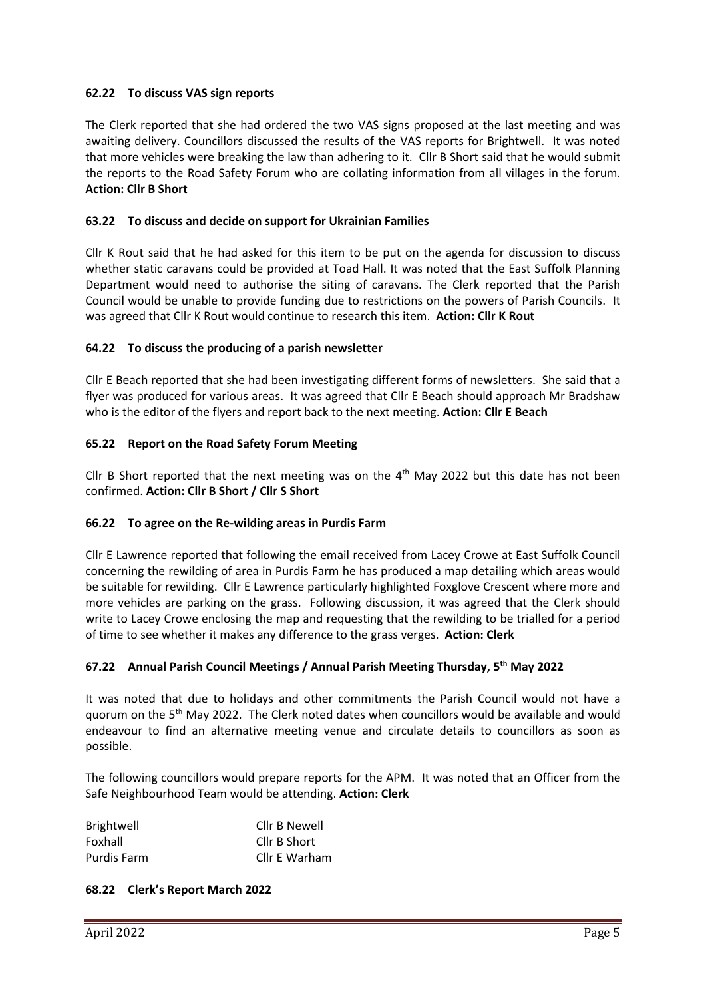## **62.22 To discuss VAS sign reports**

The Clerk reported that she had ordered the two VAS signs proposed at the last meeting and was awaiting delivery. Councillors discussed the results of the VAS reports for Brightwell. It was noted that more vehicles were breaking the law than adhering to it. Cllr B Short said that he would submit the reports to the Road Safety Forum who are collating information from all villages in the forum. **Action: Cllr B Short**

## **63.22 To discuss and decide on support for Ukrainian Families**

Cllr K Rout said that he had asked for this item to be put on the agenda for discussion to discuss whether static caravans could be provided at Toad Hall. It was noted that the East Suffolk Planning Department would need to authorise the siting of caravans. The Clerk reported that the Parish Council would be unable to provide funding due to restrictions on the powers of Parish Councils. It was agreed that Cllr K Rout would continue to research this item. **Action: Cllr K Rout**

# **64.22 To discuss the producing of a parish newsletter**

Cllr E Beach reported that she had been investigating different forms of newsletters. She said that a flyer was produced for various areas. It was agreed that Cllr E Beach should approach Mr Bradshaw who is the editor of the flyers and report back to the next meeting. **Action: Cllr E Beach**

## **65.22 Report on the Road Safety Forum Meeting**

Cllr B Short reported that the next meeting was on the  $4<sup>th</sup>$  May 2022 but this date has not been confirmed. **Action: Cllr B Short / Cllr S Short**

## **66.22 To agree on the Re-wilding areas in Purdis Farm**

Cllr E Lawrence reported that following the email received from Lacey Crowe at East Suffolk Council concerning the rewilding of area in Purdis Farm he has produced a map detailing which areas would be suitable for rewilding. Cllr E Lawrence particularly highlighted Foxglove Crescent where more and more vehicles are parking on the grass. Following discussion, it was agreed that the Clerk should write to Lacey Crowe enclosing the map and requesting that the rewilding to be trialled for a period of time to see whether it makes any difference to the grass verges. **Action: Clerk**

## **67.22 Annual Parish Council Meetings / Annual Parish Meeting Thursday, 5 th May 2022**

It was noted that due to holidays and other commitments the Parish Council would not have a guorum on the  $5<sup>th</sup>$  May 2022. The Clerk noted dates when councillors would be available and would endeavour to find an alternative meeting venue and circulate details to councillors as soon as possible.

The following councillors would prepare reports for the APM. It was noted that an Officer from the Safe Neighbourhood Team would be attending. **Action: Clerk**

| <b>Brightwell</b> | Cllr B Newell |
|-------------------|---------------|
| Foxhall           | Cllr B Short  |
| Purdis Farm       | Cllr E Warham |

## **68.22 Clerk's Report March 2022**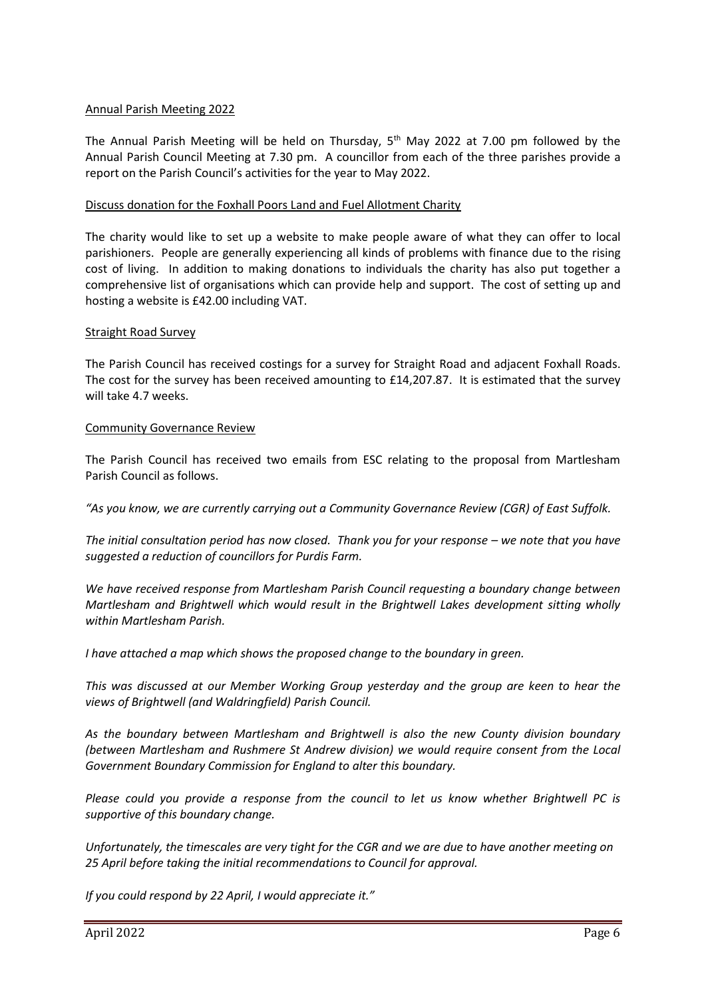### Annual Parish Meeting 2022

The Annual Parish Meeting will be held on Thursday,  $5<sup>th</sup>$  May 2022 at 7.00 pm followed by the Annual Parish Council Meeting at 7.30 pm. A councillor from each of the three parishes provide a report on the Parish Council's activities for the year to May 2022.

### Discuss donation for the Foxhall Poors Land and Fuel Allotment Charity

The charity would like to set up a website to make people aware of what they can offer to local parishioners. People are generally experiencing all kinds of problems with finance due to the rising cost of living. In addition to making donations to individuals the charity has also put together a comprehensive list of organisations which can provide help and support. The cost of setting up and hosting a website is £42.00 including VAT.

#### Straight Road Survey

The Parish Council has received costings for a survey for Straight Road and adjacent Foxhall Roads. The cost for the survey has been received amounting to £14,207.87. It is estimated that the survey will take 4.7 weeks.

#### Community Governance Review

The Parish Council has received two emails from ESC relating to the proposal from Martlesham Parish Council as follows.

*"As you know, we are currently carrying out a Community Governance Review (CGR) of East Suffolk.*

*The initial consultation period has now closed. Thank you for your response – we note that you have suggested a reduction of councillors for Purdis Farm.*

*We have received response from Martlesham Parish Council requesting a boundary change between Martlesham and Brightwell which would result in the Brightwell Lakes development sitting wholly within Martlesham Parish.*

*I have attached a map which shows the proposed change to the boundary in green.*

*This was discussed at our Member Working Group yesterday and the group are keen to hear the views of Brightwell (and Waldringfield) Parish Council.*

*As the boundary between Martlesham and Brightwell is also the new County division boundary (between Martlesham and Rushmere St Andrew division) we would require consent from the Local Government Boundary Commission for England to alter this boundary.*

*Please could you provide a response from the council to let us know whether Brightwell PC is supportive of this boundary change.*

*Unfortunately, the timescales are very tight for the CGR and we are due to have another meeting on 25 April before taking the initial recommendations to Council for approval.*

*If you could respond by 22 April, I would appreciate it."*